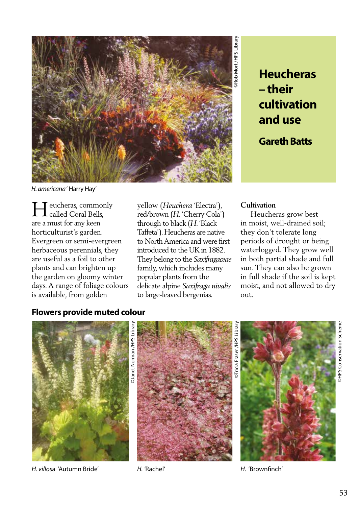

**Heucheras – their cultivation and use**

**Gareth Batts**

*H. americana* ' Harry Hay'

eucheras, commonly Heucheras, commor<br>Called Coral Bells, are a must for any keen horticulturist's garden. Evergreen or semi-evergreen herbaceous perennials, they are useful as a foil to other plants and can brighten up the garden on gloomy winter days. A range of foliage colours is available, from golden

yellow (*Heuchera* 'Electra'), red/brown (*H*. 'Cherry Cola') through to black (*H*. 'Black Taffeta'). Heucheras are native to North America and were first introduced to the UK in 1882. They belong to the *Saxifragaceae* family, which includes many popular plants from the delicate alpine *Saxifraga nivalis*  to large-leaved bergenias.

#### **Cultivation**

 Heucheras grow best in moist, well-drained soil; they don't tolerate long periods of drought or being waterlogged. They grow well in both partial shade and full sun. They can also be grown in full shade if the soil is kept moist, and not allowed to dry out.

## **Flowers provide muted colour**



*H. villos*a 'Autumn Bride' *H. '*Rachel' *H.* 'Brownfinch'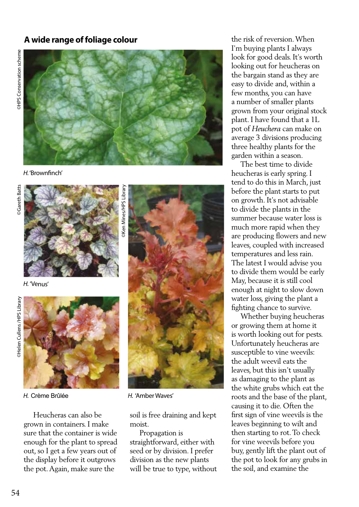## **A wide range of foliage colour**



*H.* 'Brownfinch'



*H.* 'Venus'



 Heucheras can also be grown in containers. I make sure that the container is wide enough for the plant to spread out, so I get a few years out of the display before it outgrows the pot. Again, make sure the



*H.* Crème Brûlée *H.* 'Amber Waves'

soil is free draining and kept moist.

 Propagation is straightforward, either with seed or by division. I prefer division as the new plants will be true to type, without the risk of reversion. When I'm buying plants I always look for good deals. It's worth looking out for heucheras on the bargain stand as they are easy to divide and, within a few months, you can have a number of smaller plants grown from your original stock plant. I have found that a 1L pot of *Heuchera* can make on average 3 divisions producing three healthy plants for the garden within a season.

 The best time to divide heucheras is early spring. I tend to do this in March, just before the plant starts to put on growth. It's not advisable to divide the plants in the summer because water loss is much more rapid when they are producing flowers and new leaves, coupled with increased temperatures and less rain. The latest I would advise you to divide them would be early May, because it is still cool enough at night to slow down water loss, giving the plant a fighting chance to survive.

 Whether buying heucheras or growing them at home it is worth looking out for pests. Unfortunately heucheras are susceptible to vine weevils: the adult weevil eats the leaves, but this isn't usually as damaging to the plant as the white grubs which eat the roots and the base of the plant, causing it to die. Often the first sign of vine weevils is the leaves beginning to wilt and then starting to rot. To check for vine weevils before you buy, gently lift the plant out of the pot to look for any grubs in the soil, and examine the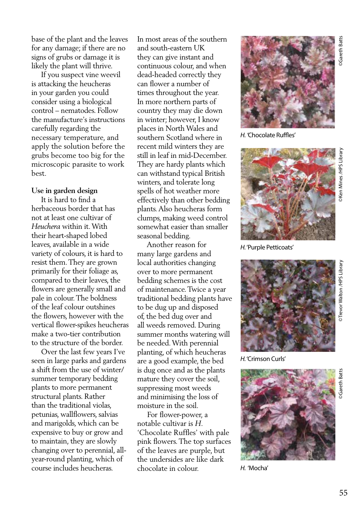base of the plant and the leaves for any damage; if there are no signs of grubs or damage it is likely the plant will thrive.

 If you suspect vine weevil is attacking the heucheras in your garden you could consider using a biological control – nematodes. Follow the manufacture's instructions carefully regarding the necessary temperature, and apply the solution before the grubs become too big for the microscopic parasite to work best.

#### **Use in garden design**

 It is hard to find a herbaceous border that has not at least one cultivar of *Heuchera* within it. With their heart-shaped lobed leaves, available in a wide variety of colours, it is hard to resist them. They are grown primarily for their foliage as, compared to their leaves, the flowers are generally small and pale in colour. The boldness of the leaf colour outshines the flowers, however with the vertical flower-spikes heucheras make a two-tier contribution to the structure of the border.

 Over the last few years I've seen in large parks and gardens a shift from the use of winter/ summer temporary bedding plants to more permanent structural plants. Rather than the traditional violas, petunias, wallflowers, salvias and marigolds, which can be expensive to buy or grow and to maintain, they are slowly changing over to perennial, allyear-round planting, which of course includes heucheras.

In most areas of the southern and south-eastern UK they can give instant and continuous colour, and when dead-headed correctly they can flower a number of times throughout the year. In more northern parts of country they may die down in winter; however, I know places in North Wales and southern Scotland where in recent mild winters they are still in leaf in mid-December. They are hardy plants which can withstand typical British winters, and tolerate long spells of hot weather more effectively than other bedding plants. Also heucheras form clumps, making weed control somewhat easier than smaller seasonal bedding.

 Another reason for many large gardens and local authorities changing over to more permanent bedding schemes is the cost of maintenance. Twice a year traditional bedding plants have to be dug up and disposed of, the bed dug over and all weeds removed. During summer months watering will be needed. With perennial planting, of which heucheras are a good example, the bed is dug once and as the plants mature they cover the soil, suppressing most weeds and minimising the loss of moisture in the soil.

 For flower-power, a notable cultivar is *H*. 'Chocolate Ruffles' with pale pink flowers. The top surfaces of the leaves are purple, but the undersides are like dark chocolate in colour.



*H. '*Chocolate Ruffles'



*H.* 'Purple Petticoats'



*H.* 'Crimson Curls'



*H.* 'Mocha'